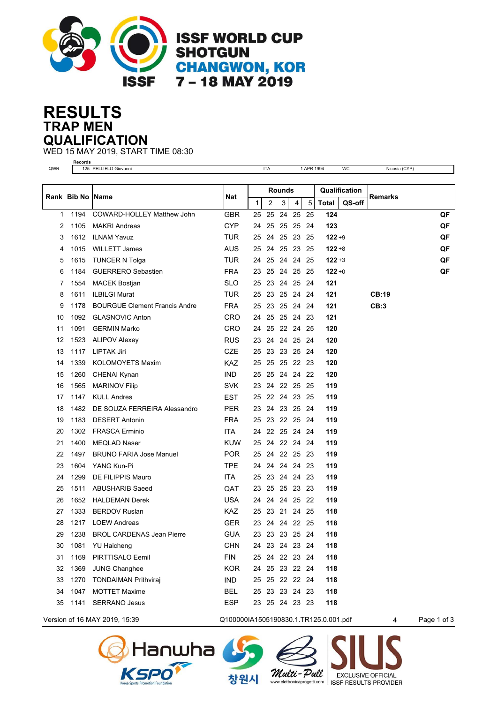

## **TRAP MEN RESULTS QUALIFICATION**

WED 15 MAY 2019, START TIME 08:30

| QWR  |                      | Records<br>125 PELLIELO Giovanni     |            |              |        |    |                    | 1 APR 1994 |           | WC            | Nicosia (CYP) |    |
|------|----------------------|--------------------------------------|------------|--------------|--------|----|--------------------|------------|-----------|---------------|---------------|----|
|      |                      |                                      |            |              |        |    |                    |            |           |               |               |    |
| Rank | <b>Bib No   Name</b> |                                      | Nat        |              | Rounds |    |                    |            |           | Qualification | Remarks       |    |
|      |                      |                                      |            | $\mathbf{1}$ | 2      | 3  | 4                  | 5          | Total     | QS-off        |               |    |
| 1    | 1194                 | COWARD-HOLLEY Matthew John           | <b>GBR</b> | 25           | 25     | 24 | 25                 | 25         | 124       |               |               | QF |
| 2    | 1105                 | <b>MAKRI Andreas</b>                 | CYP.       | 24           | 25     |    | 25 25              | 24         | 123       |               |               | QF |
| 3    | 1612                 | <b>ILNAM Yavuz</b>                   | <b>TUR</b> | 25           | 24     |    | 25 23 25           |            | $122 + 9$ |               |               | QF |
| 4    | 1015                 | <b>WILLETT James</b>                 | <b>AUS</b> | 25           | 24     |    | 25 23 25           |            | $122 + 8$ |               |               | QF |
| 5    | 1615                 | <b>TUNCER N Tolga</b>                | <b>TUR</b> | 24           | 25     |    | 24 24 25           |            | $122 + 3$ |               |               | QF |
| 6    | 1184                 | <b>GUERRERO Sebastien</b>            | <b>FRA</b> | 23           |        |    | 25 24 25 25        |            | $122 + 0$ |               |               | QF |
| 7    | 1554                 | <b>MACEK Bostjan</b>                 | <b>SLO</b> | 25           |        |    | 23 24 25 24        |            | 121       |               |               |    |
| 8    | 1611                 | <b>ILBILGI Murat</b>                 | TUR        | 25           | 23     |    | 25 24 24           |            | 121       |               | <b>CB:19</b>  |    |
| 9    | 1178                 | <b>BOURGUE Clement Francis Andre</b> | <b>FRA</b> | 25           | 23     |    | 25 24 24           |            | 121       |               | CB:3          |    |
| 10   | 1092                 | <b>GLASNOVIC Anton</b>               | CRO        | 24           | 25     |    | 25 24 23           |            | 121       |               |               |    |
| 11   | 1091                 | <b>GERMIN Marko</b>                  | CRO        | 24           | 25     |    | 22 24 25           |            | 120       |               |               |    |
| 12   | 1523                 | <b>ALIPOV Alexey</b>                 | <b>RUS</b> | 23           | 24     |    | 24 25 24           |            | 120       |               |               |    |
| 13   | 1117                 | <b>LIPTAK Jiri</b>                   | <b>CZE</b> | 25           |        |    | 23 23 25 24        |            | 120       |               |               |    |
| 14   | 1339                 | <b>KOLOMOYETS Maxim</b>              | <b>KAZ</b> |              |        |    | 25 25 25 22 23     |            | 120       |               |               |    |
| 15   | 1260                 | CHENAI Kynan                         | <b>IND</b> | 25           | 25     |    | 24 24 22           |            | 120       |               |               |    |
| 16   | 1565                 | <b>MARINOV Filip</b>                 | SVK        | 23           |        |    | 24 22 25 25        |            | 119       |               |               |    |
| 17   | 1147                 | <b>KULL Andres</b>                   | EST        | 25           |        |    | 22 24 23 25        |            | 119       |               |               |    |
| 18   | 1482                 | DE SOUZA FERREIRA Alessandro         | <b>PER</b> | 23           |        |    | 24 23 25 24        |            | 119       |               |               |    |
| 19   | 1183                 | <b>DESERT Antonin</b>                | <b>FRA</b> | 25           |        |    | 23 22 25 24        |            | 119       |               |               |    |
| 20   | 1302                 | <b>FRASCA Erminio</b>                | ITA        | 24           |        |    | 22 25 24 24        |            | 119       |               |               |    |
| 21   | 1400                 | <b>MEQLAD Naser</b>                  | KUW        | 25           |        |    | 24 22 24 24        |            | 119       |               |               |    |
| 22   | 1497                 | <b>BRUNO FARIA Jose Manuel</b>       | <b>POR</b> | 25           | 24     |    | 22 25 23           |            | 119       |               |               |    |
| 23   | 1604                 | YANG Kun-Pi                          | TPE        |              | 24 24  |    | 24 24 23           |            | 119       |               |               |    |
| 24   | 1299                 | DE FILIPPIS Mauro                    | ITA        | 25           |        |    | 23 24 24 23        |            | 119       |               |               |    |
| 25   | 1511                 | <b>ABUSHARIB Saeed</b>               | QAT        | 23           | 25     |    | 25 23 23           |            | 119       |               |               |    |
| 26   | 1652                 | <b>HALDEMAN Derek</b>                | <b>USA</b> | 24           | 24     |    | 24 25 22           |            | 119       |               |               |    |
| 27   | 1333                 | <b>BERDOV Ruslan</b>                 | <b>KAZ</b> | 25           | 23     |    | 21 24 25           |            | 118       |               |               |    |
| 28   | 1217                 | <b>LOEW Andreas</b>                  | <b>GER</b> |              |        |    | 23 24 24 22 25     |            | 118       |               |               |    |
| 29   |                      | 1238 BROL CARDENAS Jean Pierre       | <b>GUA</b> |              |        |    | 23 23 23 25 24     |            | 118       |               |               |    |
| 30   | 1081                 | <b>YU Haicheng</b>                   | <b>CHN</b> |              |        |    | 24 23 24 23 24     |            | 118       |               |               |    |
| 31   | 1169                 | PIRTTISALO Eemil                     | <b>FIN</b> |              |        |    | 25 24 22 23 24     |            | 118       |               |               |    |
| 32   | 1369                 | <b>JUNG Changhee</b>                 | <b>KOR</b> |              |        |    | 24  25  23  22  24 |            | 118       |               |               |    |
| 33   | 1270                 | <b>TONDAIMAN Prithviraj</b>          | <b>IND</b> |              |        |    | 25 25 22 22 24     |            | 118       |               |               |    |
| 34   | 1047                 | <b>MOTTET Maxime</b>                 | <b>BEL</b> |              |        |    | 25 23 23 24 23     |            | 118       |               |               |    |
| 35   | 1141                 | <b>SERRANO Jesus</b>                 | <b>ESP</b> |              |        |    | 23 25 24 23 23     |            | 118       |               |               |    |
|      |                      |                                      |            |              |        |    |                    |            |           |               |               |    |



Version of 16 MAY 2019, 15:39 Q100000IA1505190830.1.TR125.0.001.pdf 4 Page 1 of 3





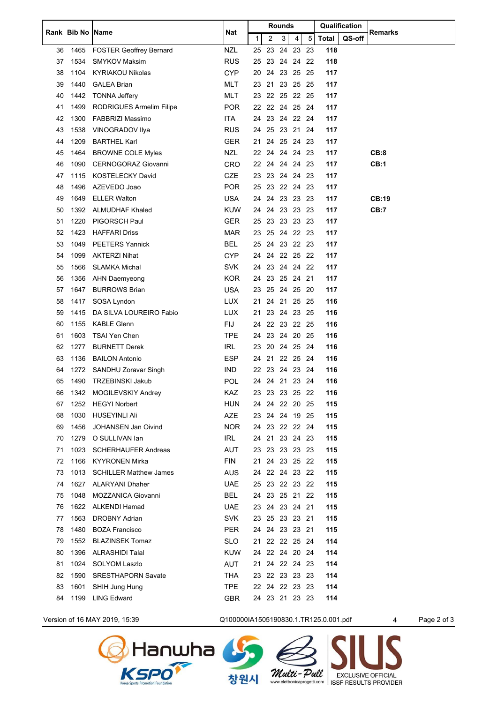|    | Rank   Bib No   Name |                                | Nat        |    |                | <b>Rounds</b> |             |      | Qualification |        | <b>Remarks</b> |
|----|----------------------|--------------------------------|------------|----|----------------|---------------|-------------|------|---------------|--------|----------------|
|    |                      |                                |            | 1  | 2              | 3             | 4           | 5    | <b>Total</b>  | QS-off |                |
| 36 | 1465                 | <b>FOSTER Geoffrey Bernard</b> | <b>NZL</b> |    | 25 23 24 23 23 |               |             |      | 118           |        |                |
| 37 | 1534                 | <b>SMYKOV Maksim</b>           | <b>RUS</b> | 25 |                |               | 23 24 24 22 |      | 118           |        |                |
| 38 | 1104                 | <b>KYRIAKOU Nikolas</b>        | <b>CYP</b> | 20 | 24             | 23 25         |             | - 25 | 117           |        |                |
| 39 | 1440                 | <b>GALEA Brian</b>             | <b>MLT</b> |    | 23 21 23 25 25 |               |             |      | 117           |        |                |
| 40 | 1442                 | <b>TONNA Jeffery</b>           | <b>MLT</b> |    | 23 22 25 22 25 |               |             |      | 117           |        |                |
| 41 | 1499                 | RODRIGUES Armelim Filipe       | POR.       | 22 |                |               | 22 24 25 24 |      | 117           |        |                |
| 42 | 1300                 | <b>FABBRIZI Massimo</b>        | <b>ITA</b> | 24 |                |               | 23 24 22 24 |      | 117           |        |                |
| 43 | 1538                 | VINOGRADOV Ilya                | <b>RUS</b> |    | 24 25 23 21 24 |               |             |      | 117           |        |                |
| 44 | 1209                 | <b>BARTHEL Karl</b>            | <b>GER</b> | 21 |                |               | 24 25 24 23 |      | 117           |        |                |
| 45 | 1464                 | <b>BROWNE COLE Myles</b>       | NZL        |    | 22 24 24 24 23 |               |             |      | 117           |        | CB:8           |
| 46 | 1090                 | CERNOGORAZ Giovanni            | CRO        |    | 22 24 24 24 23 |               |             |      | 117           |        | CB:1           |
| 47 | 1115                 | KOSTELECKY David               | <b>CZE</b> |    | 23 23 24 24 23 |               |             |      | 117           |        |                |
| 48 | 1496                 | AZEVEDO Joao                   | POR.       | 25 |                |               | 23 22 24 23 |      | 117           |        |                |
| 49 | 1649                 | <b>ELLER Walton</b>            | <b>USA</b> |    | 24 24          |               | 23 23 23    |      | 117           |        | CB:19          |
| 50 | 1392                 | <b>ALMUDHAF Khaled</b>         | KUW        |    | 24 24 23 23 23 |               |             |      | 117           |        | <b>CB:7</b>    |
| 51 | 1220                 | PIGORSCH Paul                  | <b>GER</b> | 25 |                |               | 23 23 23 23 |      | 117           |        |                |
| 52 | 1423                 | <b>HAFFARI Driss</b>           | <b>MAR</b> | 23 |                |               | 25 24 22 23 |      | 117           |        |                |
| 53 | 1049                 | <b>PEETERS Yannick</b>         | <b>BEL</b> | 25 |                |               | 24 23 22 23 |      | 117           |        |                |
| 54 | 1099                 | <b>AKTERZI Nihat</b>           | <b>CYP</b> |    | 24 24 22 25 22 |               |             |      | 117           |        |                |
| 55 | 1566                 | <b>SLAMKA Michal</b>           | <b>SVK</b> | 24 | 23             |               | 24 24 22    |      | 117           |        |                |
| 56 | 1356                 | <b>AHN Daemyeong</b>           | <b>KOR</b> |    | 24 23 25 24 21 |               |             |      | 117           |        |                |
| 57 | 1647                 | <b>BURROWS Brian</b>           | <b>USA</b> |    | 23 25 24 25 20 |               |             |      | 117           |        |                |
| 58 | 1417                 | SOSA Lyndon                    | <b>LUX</b> | 21 |                |               | 24 21 25 25 |      | 116           |        |                |
| 59 | 1415                 | DA SILVA LOUREIRO Fabio        | <b>LUX</b> | 21 |                |               | 23 24 23 25 |      | 116           |        |                |
| 60 | 1155                 | <b>KABLE Glenn</b>             | <b>FIJ</b> | 24 |                |               | 22 23 22 25 |      | 116           |        |                |
| 61 | 1603                 | <b>TSAI Yen Chen</b>           | <b>TPE</b> |    | 24 23 24 20 25 |               |             |      | 116           |        |                |
| 62 | 1277                 | <b>BURNETT Derek</b>           | <b>IRL</b> | 23 | 20             | 24 25         |             | - 24 | 116           |        |                |
| 63 | 1136                 | <b>BAILON Antonio</b>          | <b>ESP</b> |    | 24 21 22 25 24 |               |             |      | 116           |        |                |
| 64 | 1272                 | SANDHU Zoravar Singh           | IND        |    | 22 23 24 23 24 |               |             |      | 116           |        |                |
| 65 | 1490                 | <b>TRZEBINSKI Jakub</b>        | POL        |    | 24 24 21 23 24 |               |             |      | 116           |        |                |
| 66 | 1342                 | MOGILEVSKIY Andrey             | <b>KAZ</b> | 23 |                |               | 23 23 25 22 |      | 116           |        |                |
| 67 | 1252                 | <b>HEGYI Norbert</b>           | <b>HUN</b> |    | 24 24 22 20 25 |               |             |      | 115           |        |                |
| 68 | 1030                 | <b>HUSEYINLI Ali</b>           | AZE        |    | 23 24 24 19 25 |               |             |      | 115           |        |                |
| 69 | 1456                 | JOHANSEN Jan Oivind            | <b>NOR</b> |    | 24 23 22 22 24 |               |             |      | 115           |        |                |
| 70 | 1279                 | O SULLIVAN Ian                 | IRL        |    | 24 21 23 24 23 |               |             |      | 115           |        |                |
| 71 | 1023                 | <b>SCHERHAUFER Andreas</b>     | AUT        |    | 23 23 23 23 23 |               |             |      | 115           |        |                |
| 72 | 1166                 | <b>KYYRONEN Mirka</b>          | FIN        | 21 |                |               | 24 23 25 22 |      | 115           |        |                |
| 73 | 1013                 | <b>SCHILLER Matthew James</b>  | <b>AUS</b> | 24 |                |               | 22 24 23 22 |      | 115           |        |                |
| 74 | 1627                 | <b>ALARYANI Dhaher</b>         | <b>UAE</b> |    | 25 23 22 23 22 |               |             |      | 115           |        |                |
| 75 | 1048                 | <b>MOZZANICA Giovanni</b>      | BEL        |    | 24 23 25 21 22 |               |             |      | 115           |        |                |
| 76 | 1622                 | <b>ALKENDI Hamad</b>           | <b>UAE</b> | 23 |                |               | 24 23 24 21 |      | 115           |        |                |
| 77 | 1563                 | <b>DROBNY Adrian</b>           | SVK        |    | 23 25 23 23 21 |               |             |      | 115           |        |                |
| 78 | 1480                 | <b>BOZA Francisco</b>          | PER        | 24 |                |               | 24 23 23 21 |      | 115           |        |                |
| 79 | 1552                 | <b>BLAZINSEK Tomaz</b>         | SLO        | 21 |                |               | 22 22 25 24 |      | 114           |        |                |
| 80 | 1396                 | <b>ALRASHIDI Talal</b>         | <b>KUW</b> | 24 |                |               | 22 24 20 24 |      | 114           |        |                |
| 81 | 1024                 | SOLYOM Laszlo                  | AUT        | 21 |                |               | 24 22 24 23 |      | 114           |        |                |
| 82 | 1590                 | <b>SRESTHAPORN Savate</b>      | <b>THA</b> |    | 23 22 23 23 23 |               |             |      | 114           |        |                |
| 83 | 1601                 | SHIH Jung Hung                 | TPE        |    | 22 24 22 23 23 |               |             |      | 114           |        |                |
| 84 | 1199                 | <b>LING Edward</b>             | GBR        |    | 24 23 21 23 23 |               |             |      | 114           |        |                |
|    |                      |                                |            |    |                |               |             |      |               |        |                |



Version of 16 MAY 2019, 15:39 Q100000IA1505190830.1.TR125.0.001.pdf 4 Page 2 of 3